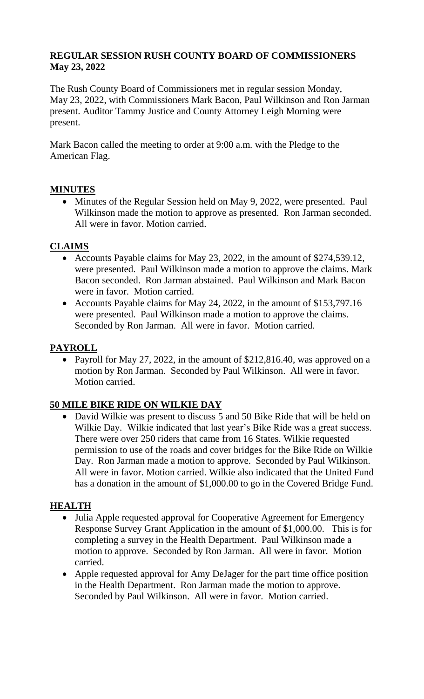## **REGULAR SESSION RUSH COUNTY BOARD OF COMMISSIONERS May 23, 2022**

The Rush County Board of Commissioners met in regular session Monday, May 23, 2022, with Commissioners Mark Bacon, Paul Wilkinson and Ron Jarman present. Auditor Tammy Justice and County Attorney Leigh Morning were present.

Mark Bacon called the meeting to order at 9:00 a.m. with the Pledge to the American Flag.

## **MINUTES**

• Minutes of the Regular Session held on May 9, 2022, were presented. Paul Wilkinson made the motion to approve as presented. Ron Jarman seconded. All were in favor. Motion carried.

### **CLAIMS**

- Accounts Payable claims for May 23, 2022, in the amount of \$274,539.12, were presented. Paul Wilkinson made a motion to approve the claims. Mark Bacon seconded. Ron Jarman abstained. Paul Wilkinson and Mark Bacon were in favor. Motion carried.
- Accounts Payable claims for May 24, 2022, in the amount of \$153,797.16 were presented. Paul Wilkinson made a motion to approve the claims. Seconded by Ron Jarman. All were in favor. Motion carried.

### **PAYROLL**

• Payroll for May 27, 2022, in the amount of \$212,816.40, was approved on a motion by Ron Jarman. Seconded by Paul Wilkinson. All were in favor. Motion carried.

#### **50 MILE BIKE RIDE ON WILKIE DAY**

• David Wilkie was present to discuss 5 and 50 Bike Ride that will be held on Wilkie Day. Wilkie indicated that last year's Bike Ride was a great success. There were over 250 riders that came from 16 States. Wilkie requested permission to use of the roads and cover bridges for the Bike Ride on Wilkie Day. Ron Jarman made a motion to approve. Seconded by Paul Wilkinson. All were in favor. Motion carried. Wilkie also indicated that the United Fund has a donation in the amount of \$1,000.00 to go in the Covered Bridge Fund.

#### **HEALTH**

- Julia Apple requested approval for Cooperative Agreement for Emergency Response Survey Grant Application in the amount of \$1,000.00. This is for completing a survey in the Health Department. Paul Wilkinson made a motion to approve. Seconded by Ron Jarman. All were in favor. Motion carried.
- Apple requested approval for Amy DeJager for the part time office position in the Health Department. Ron Jarman made the motion to approve. Seconded by Paul Wilkinson. All were in favor. Motion carried.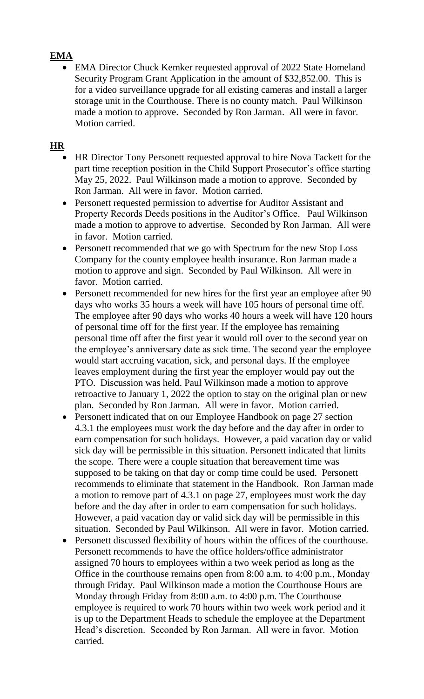# **EMA**

• EMA Director Chuck Kemker requested approval of 2022 State Homeland Security Program Grant Application in the amount of \$32,852.00. This is for a video surveillance upgrade for all existing cameras and install a larger storage unit in the Courthouse. There is no county match. Paul Wilkinson made a motion to approve. Seconded by Ron Jarman. All were in favor. Motion carried.

## **HR**

- HR Director Tony Personett requested approval to hire Nova Tackett for the part time reception position in the Child Support Prosecutor's office starting May 25, 2022. Paul Wilkinson made a motion to approve. Seconded by Ron Jarman. All were in favor. Motion carried.
- Personett requested permission to advertise for Auditor Assistant and Property Records Deeds positions in the Auditor's Office. Paul Wilkinson made a motion to approve to advertise. Seconded by Ron Jarman. All were in favor. Motion carried.
- Personett recommended that we go with Spectrum for the new Stop Loss Company for the county employee health insurance. Ron Jarman made a motion to approve and sign. Seconded by Paul Wilkinson. All were in favor. Motion carried.
- Personett recommended for new hires for the first year an employee after 90 days who works 35 hours a week will have 105 hours of personal time off. The employee after 90 days who works 40 hours a week will have 120 hours of personal time off for the first year. If the employee has remaining personal time off after the first year it would roll over to the second year on the employee's anniversary date as sick time. The second year the employee would start accruing vacation, sick, and personal days. If the employee leaves employment during the first year the employer would pay out the PTO. Discussion was held. Paul Wilkinson made a motion to approve retroactive to January 1, 2022 the option to stay on the original plan or new plan. Seconded by Ron Jarman. All were in favor. Motion carried.
- Personett indicated that on our Employee Handbook on page 27 section 4.3.1 the employees must work the day before and the day after in order to earn compensation for such holidays. However, a paid vacation day or valid sick day will be permissible in this situation. Personett indicated that limits the scope. There were a couple situation that bereavement time was supposed to be taking on that day or comp time could be used. Personett recommends to eliminate that statement in the Handbook. Ron Jarman made a motion to remove part of 4.3.1 on page 27, employees must work the day before and the day after in order to earn compensation for such holidays. However, a paid vacation day or valid sick day will be permissible in this situation. Seconded by Paul Wilkinson. All were in favor. Motion carried.
- Personett discussed flexibility of hours within the offices of the courthouse. Personett recommends to have the office holders/office administrator assigned 70 hours to employees within a two week period as long as the Office in the courthouse remains open from 8:00 a.m. to 4:00 p.m., Monday through Friday. Paul Wilkinson made a motion the Courthouse Hours are Monday through Friday from 8:00 a.m. to 4:00 p.m. The Courthouse employee is required to work 70 hours within two week work period and it is up to the Department Heads to schedule the employee at the Department Head's discretion. Seconded by Ron Jarman. All were in favor. Motion carried.